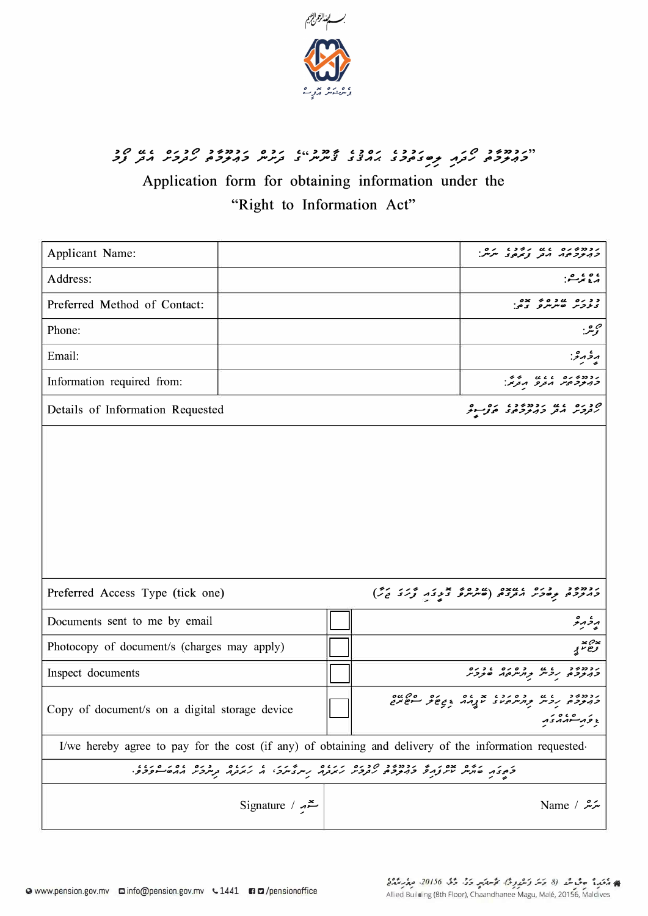

## ווגנדונים לזגרים גדולים בין מדובה מודעים הכדומים לא הליטון לדי ליטון.<br>בהקבת גדוד קשיטתכים ההצים ביתיות ובדיקורים הקבת הדי לכ

Application form for obtaining information under the "Right to Information Act"

| Applicant Name:                                                                                                                                           |                                                |  |                                                                                    | נדדמים גם נדבי הנת.<br>בהתכסה הב נדביב הנת.                                   |  |
|-----------------------------------------------------------------------------------------------------------------------------------------------------------|------------------------------------------------|--|------------------------------------------------------------------------------------|-------------------------------------------------------------------------------|--|
| Address:                                                                                                                                                  |                                                |  |                                                                                    | ه ه ه و.<br>در د نمر                                                          |  |
| Preferred Method of Contact:                                                                                                                              |                                                |  |                                                                                    | : د بره یو د ه و بره<br>و زرگر صبر سرگر و م                                   |  |
| Phone:                                                                                                                                                    |                                                |  |                                                                                    | ص محمد.<br>محر مس                                                             |  |
| Email:                                                                                                                                                    |                                                |  |                                                                                    | ەخ مەشر                                                                       |  |
| Information required from:                                                                                                                                |                                                |  |                                                                                    | הכפשים ששום שיש.<br>בהקבתיו הבפ הבני.                                         |  |
| Details of Information Requested                                                                                                                          |                                                |  |                                                                                    | קנים גם נכחדדו נקרית<br>נקבת ה <sub>ב</sub> בה <i>קב</i> סב הצ <del>יינ</del> |  |
|                                                                                                                                                           |                                                |  |                                                                                    |                                                                               |  |
| Preferred Access Type (tick one)                                                                                                                          |                                                |  | rease era sua asua asua era era era)<br>בהקבה קסכת הבנה (סיתית פניבה ציב בי)       |                                                                               |  |
| Documents sent to me by email                                                                                                                             |                                                |  |                                                                                    | وخرمتر                                                                        |  |
| Photocopy of document/s (charges may apply)                                                                                                               |                                                |  |                                                                                    | وجأمامج                                                                       |  |
| Inspect documents                                                                                                                                         |                                                |  |                                                                                    | הכביש ב- גם הכירים הבינים<br>בהקבים הכית קו <i>ניתים</i> ה שקבית              |  |
| Copy of document/s on a digital storage device                                                                                                            |                                                |  | גבמי בין הסגבו אינומר בשיק ביטוריום<br>בודקבת קבית קודניתיתיו בינומר בשיק ביטוריום |                                                                               |  |
| I/we hereby agree to pay for the cost (if any) of obtaining and delivery of the information requested.                                                    |                                                |  |                                                                                    |                                                                               |  |
| בקיבור נישים בסיר זי הכדבים בי בינס ודוגם סוגים ובינס בינס בינס בינים.<br>בקיבור סוקיית מית צודם בנהקבם, ובקבית והזבקה קיית ביתבה במיתבית הנדיסים בקברים. |                                                |  |                                                                                    |                                                                               |  |
|                                                                                                                                                           | Signature / $\stackrel{\sim}{\longrightarrow}$ |  |                                                                                    | Name / سمته $\mathcal{L}$                                                     |  |